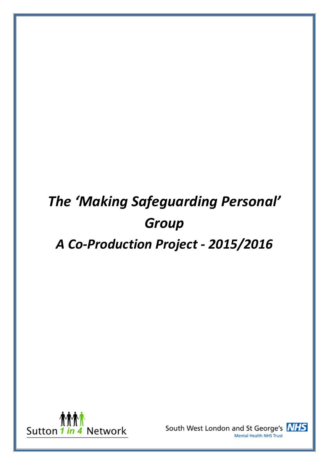# *The 'Making Safeguarding Personal' Group*

# *A Co-Production Project - 2015/2016*



South West London and St George's NHS **Mental Health NHS Trust** 

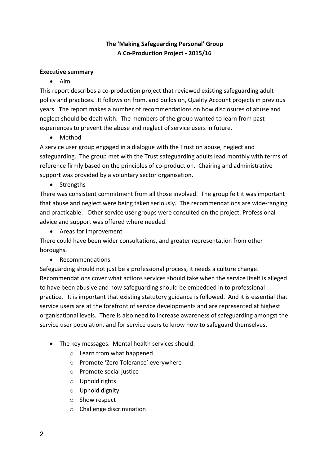## **The 'Making Safeguarding Personal' Group A Co-Production Project - 2015/16**

#### **Executive summary**

Aim

This report describes a co-production project that reviewed existing safeguarding adult policy and practices. It follows on from, and builds on, Quality Account projects in previous years. The report makes a number of recommendations on how disclosures of abuse and neglect should be dealt with. The members of the group wanted to learn from past experiences to prevent the abuse and neglect of service users in future.

• Method

A service user group engaged in a dialogue with the Trust on abuse, neglect and safeguarding. The group met with the Trust safeguarding adults lead monthly with terms of reference firmly based on the principles of co-production. Chairing and administrative support was provided by a voluntary sector organisation.

• Strengths

There was consistent commitment from all those involved. The group felt it was important that abuse and neglect were being taken seriously. The recommendations are wide-ranging and practicable. Other service user groups were consulted on the project. Professional advice and support was offered where needed.

Areas for improvement

There could have been wider consultations, and greater representation from other boroughs.

Recommendations

Safeguarding should not just be a professional process, it needs a culture change. Recommendations cover what actions services should take when the service itself is alleged to have been abusive and how safeguarding should be embedded in to professional practice. It is important that existing statutory guidance is followed. And it is essential that service users are at the forefront of service developments and are represented at highest organisational levels. There is also need to increase awareness of safeguarding amongst the service user population, and for service users to know how to safeguard themselves.

- The key messages. Mental health services should:
	- o Learn from what happened
	- o Promote 'Zero Tolerance' everywhere
	- o Promote social justice
	- o Uphold rights
	- o Uphold dignity
	- o Show respect
	- o Challenge discrimination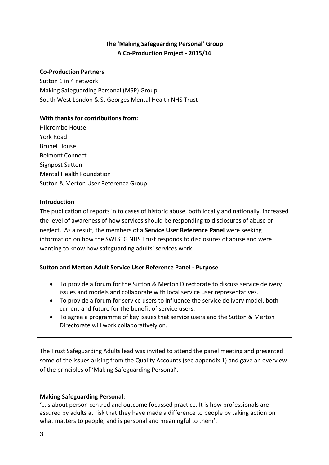## **The 'Making Safeguarding Personal' Group A Co-Production Project - 2015/16**

#### **Co-Production Partners**

Sutton 1 in 4 network Making Safeguarding Personal (MSP) Group South West London & St Georges Mental Health NHS Trust

#### **With thanks for contributions from:**

Hilcrombe House York Road Brunel House Belmont Connect Signpost Sutton Mental Health Foundation Sutton & Merton User Reference Group

#### **Introduction**

The publication of reports in to cases of historic abuse, both locally and nationally, increased the level of awareness of how services should be responding to disclosures of abuse or neglect. As a result, the members of a **Service User Reference Panel** were seeking information on how the SWLSTG NHS Trust responds to disclosures of abuse and were wanting to know how safeguarding adults' services work.

#### **Sutton and Merton Adult Service User Reference Panel - Purpose**

- To provide a forum for the Sutton & Merton Directorate to discuss service delivery issues and models and collaborate with local service user representatives.
- To provide a forum for service users to influence the service delivery model, both current and future for the benefit of service users.
- To agree a programme of key issues that service users and the Sutton & Merton Directorate will work collaboratively on.

The Trust Safeguarding Adults lead was invited to attend the panel meeting and presented some of the issues arising from the Quality Accounts (see appendix 1) and gave an overview of the principles of 'Making Safeguarding Personal'.

#### **Making Safeguarding Personal:**

**'…**is about person centred and outcome focussed practice. It is how professionals are assured by adults at risk that they have made a difference to people by taking action on what matters to people, and is personal and meaningful to them'.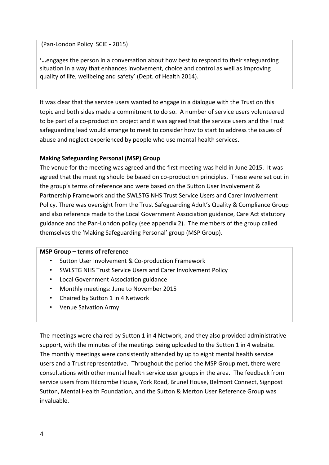(Pan-London Policy SCIE - 2015)

**'…**engages the person in a conversation about how best to respond to their safeguarding situation in a way that enhances involvement, choice and control as well as improving quality of life, wellbeing and safety' (Dept. of Health 2014).

It was clear that the service users wanted to engage in a dialogue with the Trust on this topic and both sides made a commitment to do so. A number of service users volunteered to be part of a co-production project and it was agreed that the service users and the Trust safeguarding lead would arrange to meet to consider how to start to address the issues of abuse and neglect experienced by people who use mental health services.

#### **Making Safeguarding Personal (MSP) Group**

The venue for the meeting was agreed and the first meeting was held in June 2015. It was agreed that the meeting should be based on co-production principles. These were set out in the group's terms of reference and were based on the Sutton User Involvement & Partnership Framework and the SWLSTG NHS Trust Service Users and Carer Involvement Policy. There was oversight from the Trust Safeguarding Adult's Quality & Compliance Group and also reference made to the Local Government Association guidance, Care Act statutory guidance and the Pan-London policy (see appendix 2). The members of the group called themselves the 'Making Safeguarding Personal' group (MSP Group).

#### **MSP Group – terms of reference**

- Sutton User Involvement & Co-production Framework
- SWLSTG NHS Trust Service Users and Carer Involvement Policy
- Local Government Association guidance
- Monthly meetings: June to November 2015
- Chaired by Sutton 1 in 4 Network
- Venue Salvation Army

The meetings were chaired by Sutton 1 in 4 Network, and they also provided administrative support, with the minutes of the meetings being uploaded to the Sutton 1 in 4 website. The monthly meetings were consistently attended by up to eight mental health service users and a Trust representative. Throughout the period the MSP Group met, there were consultations with other mental health service user groups in the area. The feedback from service users from Hilcrombe House, York Road, Brunel House, Belmont Connect, Signpost Sutton, Mental Health Foundation, and the Sutton & Merton User Reference Group was invaluable.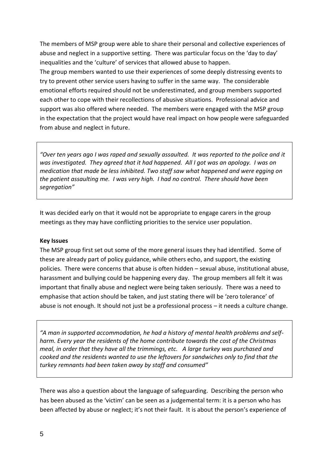The members of MSP group were able to share their personal and collective experiences of abuse and neglect in a supportive setting. There was particular focus on the 'day to day' inequalities and the 'culture' of services that allowed abuse to happen.

The group members wanted to use their experiences of some deeply distressing events to try to prevent other service users having to suffer in the same way. The considerable emotional efforts required should not be underestimated, and group members supported each other to cope with their recollections of abusive situations. Professional advice and support was also offered where needed. The members were engaged with the MSP group in the expectation that the project would have real impact on how people were safeguarded from abuse and neglect in future.

*"Over ten years ago I was raped and sexually assaulted. It was reported to the police and it was investigated. They agreed that it had happened. All I got was an apology. I was on medication that made be less inhibited. Two staff saw what happened and were egging on the patient assaulting me. I was very high. I had no control. There should have been segregation"*

It was decided early on that it would not be appropriate to engage carers in the group meetings as they may have conflicting priorities to the service user population.

#### **Key Issues**

The MSP group first set out some of the more general issues they had identified. Some of these are already part of policy guidance, while others echo, and support, the existing policies. There were concerns that abuse is often hidden – sexual abuse, institutional abuse, harassment and bullying could be happening every day. The group members all felt it was important that finally abuse and neglect were being taken seriously. There was a need to emphasise that action should be taken, and just stating there will be 'zero tolerance' of abuse is not enough. It should not just be a professional process – it needs a culture change.

*"A man in supported accommodation, he had a history of mental health problems and selfharm. Every year the residents of the home contribute towards the cost of the Christmas meal, in order that they have all the trimmings, etc. A large turkey was purchased and cooked and the residents wanted to use the leftovers for sandwiches only to find that the turkey remnants had been taken away by staff and consumed"*

There was also a question about the language of safeguarding. Describing the person who has been abused as the 'victim' can be seen as a judgemental term: it is a person who has been affected by abuse or neglect; it's not their fault. It is about the person's experience of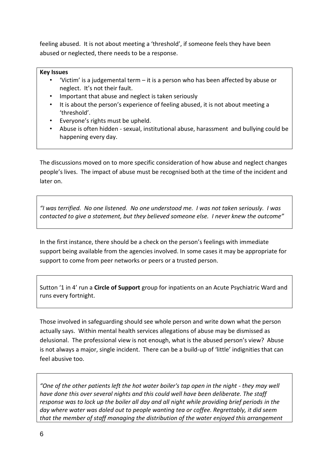feeling abused. It is not about meeting a 'threshold', if someone feels they have been abused or neglected, there needs to be a response.

#### **Key Issues**

- 'Victim' is a judgemental term it is a person who has been affected by abuse or neglect. It's not their fault.
- Important that abuse and neglect is taken seriously
- It is about the person's experience of feeling abused, it is not about meeting a 'threshold'.
- Everyone's rights must be upheld.
- Abuse is often hidden sexual, institutional abuse, harassment and bullying could be happening every day.

The discussions moved on to more specific consideration of how abuse and neglect changes people's lives. The impact of abuse must be recognised both at the time of the incident and later on.

*"I was terrified. No one listened. No one understood me. I was not taken seriously. I was contacted to give a statement, but they believed someone else. I never knew the outcome"*

In the first instance, there should be a check on the person's feelings with immediate support being available from the agencies involved. In some cases it may be appropriate for support to come from peer networks or peers or a trusted person.

Sutton '1 in 4' run a **Circle of Support** group for inpatients on an Acute Psychiatric Ward and runs every fortnight.

Those involved in safeguarding should see whole person and write down what the person actually says. Within mental health services allegations of abuse may be dismissed as delusional. The professional view is not enough, what is the abused person's view? Abuse is not always a major, single incident. There can be a build-up of 'little' indignities that can feel abusive too.

*"One of the other patients left the hot water boiler's tap open in the night - they may well have done this over several nights and this could well have been deliberate. The staff response was to lock up the boiler all day and all night while providing brief periods in the day where water was doled out to people wanting tea or coffee. Regrettably, it did seem that the member of staff managing the distribution of the water enjoyed this arrangement*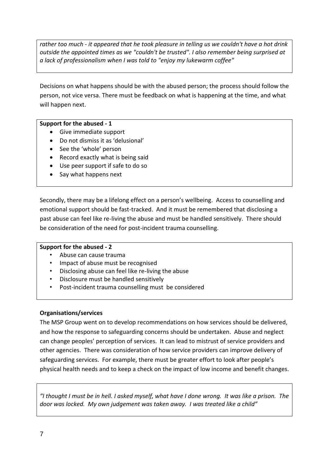*rather too much - it appeared that he took pleasure in telling us we couldn't have a hot drink outside the appointed times as we "couldn't be trusted". I also remember being surprised at a lack of professionalism when I was told to "enjoy my lukewarm coffee"*

Decisions on what happens should be with the abused person; the process should follow the person, not vice versa. There must be feedback on what is happening at the time, and what will happen next.

#### **Support for the abused - 1**

- Give immediate support
- Do not dismiss it as 'delusional'
- See the 'whole' person
- Record exactly what is being said
- Use peer support if safe to do so
- Say what happens next

Secondly, there may be a lifelong effect on a person's wellbeing. Access to counselling and emotional support should be fast-tracked. And it must be remembered that disclosing a past abuse can feel like re-living the abuse and must be handled sensitively. There should be consideration of the need for post-incident trauma counselling.

#### **Support for the abused - 2**

- Abuse can cause trauma
- Impact of abuse must be recognised
- Disclosing abuse can feel like re-living the abuse
- Disclosure must be handled sensitively
- Post-incident trauma counselling must be considered

#### **Organisations/services**

The MSP Group went on to develop recommendations on how services should be delivered, and how the response to safeguarding concerns should be undertaken. Abuse and neglect can change peoples' perception of services. It can lead to mistrust of service providers and other agencies. There was consideration of how service providers can improve delivery of safeguarding services. For example, there must be greater effort to look after people's physical health needs and to keep a check on the impact of low income and benefit changes.

*"I thought I must be in hell. I asked myself, what have I done wrong. It was like a prison. The door was locked. My own judgement was taken away. I was treated like a child"*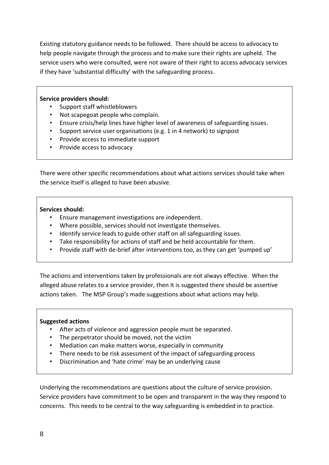Existing statutory guidance needs to be followed. There should be access to advocacy to help people navigate through the process and to make sure their rights are upheld. The service users who were consulted, were not aware of their right to access advocacy services if they have 'substantial difficulty' with the safeguarding process.

#### **Service providers should:**

- Support staff whistleblowers
- Not scapegoat people who complain.
- Ensure crisis/help lines have higher level of awareness of safeguarding issues.
- Support service user organisations (e.g. 1 in 4 network) to signpost
- Provide access to immediate support
- Provide access to advocacy

There were other specific recommendations about what actions services should take when the service itself is alleged to have been abusive.

#### **Services should:**

- Ensure management investigations are independent.
- Where possible, services should not investigate themselves.
- Identify service leads to guide other staff on all safeguarding issues.
- Take responsibility for actions of staff and be held accountable for them.
- Provide staff with de-brief after interventions too, as they can get 'pumped up'

The actions and interventions taken by professionals are not always effective. When the alleged abuse relates to a service provider, then it is suggested there should be assertive actions taken. The MSP Group's made suggestions about what actions may help.

#### **Suggested actions**

- After acts of violence and aggression people must be separated.
- The perpetrator should be moved, not the victim
- Mediation can make matters worse, especially in community
- There needs to be risk assessment of the impact of safeguarding process
- Discrimination and 'hate crime' may be an underlying cause

Underlying the recommendations are questions about the culture of service provision. Service providers have commitment to be open and transparent in the way they respond to concerns. This needs to be central to the way safeguarding is embedded in to practice.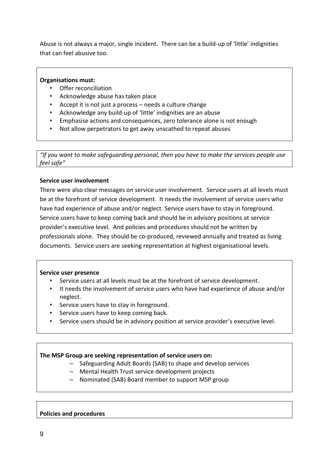Abuse is not always a major, single incident. There can be a build-up of 'little' indignities that can feel abusive too.

#### **Organisations must:**

- Offer reconciliation
- Acknowledge abuse has taken place
- Accept it is not just a process needs a culture change
- Acknowledge any build-up of 'little' indignities are an abuse
- Emphasise actions and consequences, zero tolerance alone is not enough
- Not allow perpetrators to get away unscathed to repeat abuses

*"If you want to make safeguarding personal, then you have to make the services people use feel safe"*

#### **Service user involvement**

There were also clear messages on service user involvement. Service users at all levels must be at the forefront of service development. It needs the involvement of service users who have had experience of abuse and/or neglect. Service users have to stay in foreground. Service users have to keep coming back and should be in advisory positions at service provider's executive level. And policies and procedures should not be written by professionals alone. They should be co-produced, reviewed annually and treated as living documents. Service users are seeking representation at highest organisational levels.

#### **Service user presence**

- Service users at all levels must be at the forefront of service development.
- It needs the involvement of service users who have had experience of abuse and/or neglect.
- Service users have to stay in foreground.
- Service users have to keep coming back.
- Service users should be in advisory position at service provider's executive level.

#### **The MSP Group are seeking representation of service users on:**

- Safeguarding Adult Boards (SAB) to shape and develop services
- Mental Health Trust service development projects
- Nominated (SAB) Board member to support MSP group

#### **Policies and procedures**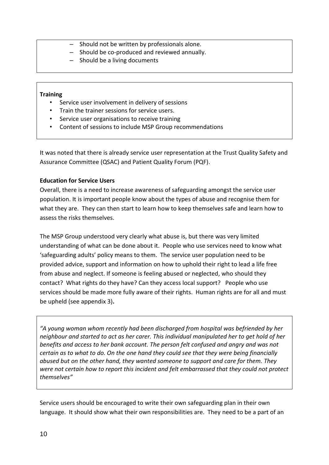- Should not be written by professionals alone.
- Should be co-produced and reviewed annually.
- Should be a living documents

#### **Training**

- Service user involvement in delivery of sessions
- Train the trainer sessions for service users.
- Service user organisations to receive training
- Content of sessions to include MSP Group recommendations

It was noted that there is already service user representation at the Trust Quality Safety and Assurance Committee (QSAC) and Patient Quality Forum (PQF).

#### **Education for Service Users**

Overall, there is a need to increase awareness of safeguarding amongst the service user population. It is important people know about the types of abuse and recognise them for what they are. They can then start to learn how to keep themselves safe and learn how to assess the risks themselves.

The MSP Group understood very clearly what abuse is, but there was very limited understanding of what can be done about it. People who use services need to know what 'safeguarding adults' policy means to them. The service user population need to be provided advice, support and information on how to uphold their right to lead a life free from abuse and neglect. If someone is feeling abused or neglected, who should they contact? What rights do they have? Can they access local support? People who use services should be made more fully aware of their rights. Human rights are for all and must be upheld (see appendix 3)**.** 

*"A young woman whom recently had been discharged from hospital was befriended by her neighbour and started to act as her carer. This individual manipulated her to get hold of her benefits and access to her bank account. The person felt confused and angry and was not certain as to what to do. On the one hand they could see that they were being financially abused but on the other hand, they wanted someone to support and care for them. They were not certain how to report this incident and felt embarrassed that they could not protect themselves"*

Service users should be encouraged to write their own safeguarding plan in their own language. It should show what their own responsibilities are. They need to be a part of an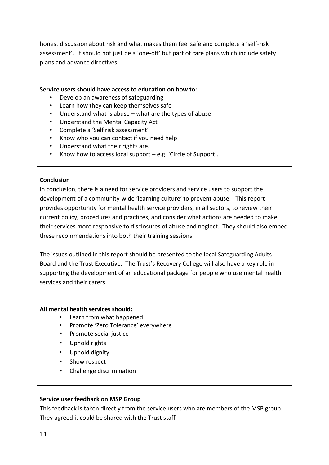honest discussion about risk and what makes them feel safe and complete a 'self-risk assessment'. It should not just be a 'one-off' but part of care plans which include safety plans and advance directives.

#### **Service users should have access to education on how to:**

- Develop an awareness of safeguarding
- Learn how they can keep themselves safe
- Understand what is abuse  $-$  what are the types of abuse
- Understand the Mental Capacity Act
- Complete a 'Self risk assessment'
- Know who you can contact if you need help
- Understand what their rights are.
- Know how to access local support  $-e.g.$  'Circle of Support'.

#### **Conclusion**

In conclusion, there is a need for service providers and service users to support the development of a community-wide 'learning culture' to prevent abuse. This report provides opportunity for mental health service providers, in all sectors, to review their current policy, procedures and practices, and consider what actions are needed to make their services more responsive to disclosures of abuse and neglect. They should also embed these recommendations into both their training sessions.

The issues outlined in this report should be presented to the local Safeguarding Adults Board and the Trust Executive. The Trust's Recovery College will also have a key role in supporting the development of an educational package for people who use mental health services and their carers.

#### **All mental health services should:**

- Learn from what happened
- Promote 'Zero Tolerance' everywhere
- Promote social justice
- Uphold rights
- Uphold dignity
- Show respect
- Challenge discrimination

#### **Service user feedback on MSP Group**

This feedback is taken directly from the service users who are members of the MSP group. They agreed it could be shared with the Trust staff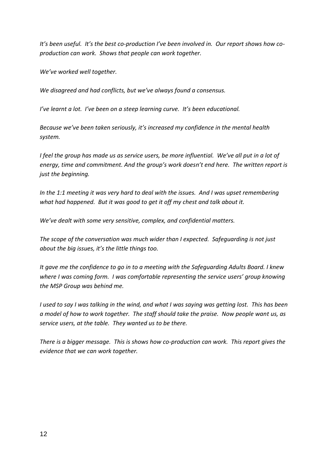*It's been useful. It's the best co-production I've been involved in. Our report shows how coproduction can work. Shows that people can work together.*

*We've worked well together.*

*We disagreed and had conflicts, but we've always found a consensus.*

*I've learnt a lot. I've been on a steep learning curve. It's been educational.*

*Because we've been taken seriously, it's increased my confidence in the mental health system.*

*I* feel the group has made us as service users, be more influential. We've all put in a lot of *energy, time and commitment. And the group's work doesn't end here. The written report is just the beginning.*

*In the 1:1 meeting it was very hard to deal with the issues. And I was upset remembering what had happened. But it was good to get it off my chest and talk about it.*

*We've dealt with some very sensitive, complex, and confidential matters.*

*The scope of the conversation was much wider than I expected. Safeguarding is not just about the big issues, it's the little things too.*

*It gave me the confidence to go in to a meeting with the Safeguarding Adults Board. I knew where I was coming form. I was comfortable representing the service users' group knowing the MSP Group was behind me.*

*I used to say I was talking in the wind, and what I was saying was getting lost. This has been a model of how to work together. The staff should take the praise. Now people want us, as service users, at the table. They wanted us to be there.*

*There is a bigger message. This is shows how co-production can work. This report gives the evidence that we can work together.*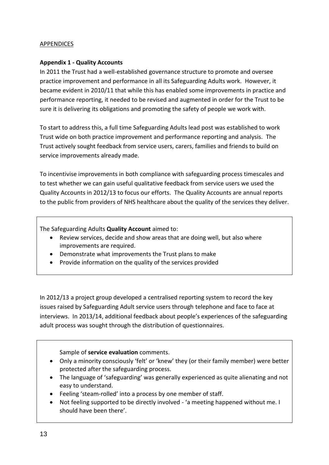#### APPENDICES

#### **Appendix 1 - Quality Accounts**

In 2011 the Trust had a well-established governance structure to promote and oversee practice improvement and performance in all its Safeguarding Adults work. However, it became evident in 2010/11 that while this has enabled some improvements in practice and performance reporting, it needed to be revised and augmented in order for the Trust to be sure it is delivering its obligations and promoting the safety of people we work with.

To start to address this, a full time Safeguarding Adults lead post was established to work Trust wide on both practice improvement and performance reporting and analysis. The Trust actively sought feedback from service users, carers, families and friends to build on service improvements already made.

To incentivise improvements in both compliance with safeguarding process timescales and to test whether we can gain useful qualitative feedback from service users we used the Quality Accounts in 2012/13 to focus our efforts. The Quality Accounts are annual reports to the public from providers of NHS healthcare about the quality of the services they deliver.

The Safeguarding Adults **Quality Account** aimed to:

- Review services, decide and show areas that are doing well, but also where improvements are required.
- Demonstrate what improvements the Trust plans to make
- Provide information on the quality of the services provided

In 2012/13 a project group developed a centralised reporting system to record the key issues raised by Safeguarding Adult service users through telephone and face to face at interviews. In 2013/14, additional feedback about people's experiences of the safeguarding adult process was sought through the distribution of questionnaires.

Sample of **service evaluation** comments.

- Only a minority consciously 'felt' or 'knew' they (or their family member) were better protected after the safeguarding process.
- The language of 'safeguarding' was generally experienced as quite alienating and not easy to understand.
- Feeling 'steam-rolled' into a process by one member of staff.
- Not feeling supported to be directly involved 'a meeting happened without me. I should have been there'.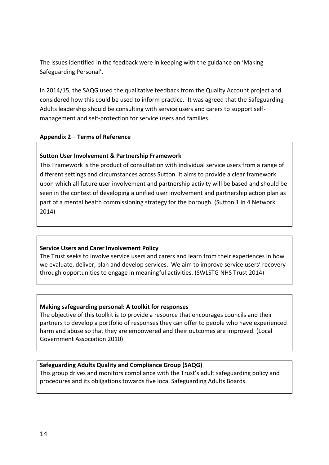The issues identified in the feedback were in keeping with the guidance on 'Making Safeguarding Personal'.

In 2014/15, the SAQG used the qualitative feedback from the Quality Account project and considered how this could be used to inform practice. It was agreed that the Safeguarding Adults leadership should be consulting with service users and carers to support selfmanagement and self-protection for service users and families.

#### **Appendix 2 – Terms of Reference**

#### **Sutton User Involvement & Partnership Framework**

This Framework is the product of consultation with individual service users from a range of different settings and circumstances across Sutton. It aims to provide a clear framework upon which all future user involvement and partnership activity will be based and should be seen in the context of developing a unified user involvement and partnership action plan as part of a mental health commissioning strategy for the borough. (Sutton 1 in 4 Network 2014)

#### **Service Users and Carer Involvement Policy**

The Trust seeks to involve service users and carers and learn from their experiences in how we evaluate, deliver, plan and develop services. We aim to improve service users' recovery through opportunities to engage in meaningful activities. (SWLSTG NHS Trust 2014)

#### **Making safeguarding personal: A toolkit for responses**

The objective of this toolkit is to provide a resource that encourages councils and their partners to develop a portfolio of responses they can offer to people who have experienced harm and abuse so that they are empowered and their outcomes are improved. (Local Government Association 2010)

#### **Safeguarding Adults Quality and Compliance Group (SAQG)**

This group drives and monitors compliance with the Trust's adult safeguarding policy and procedures and its obligations towards five local Safeguarding Adults Boards.